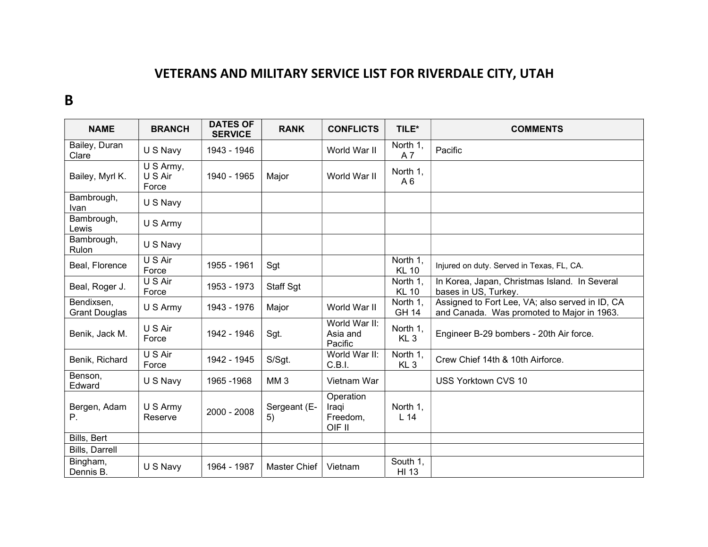## VETERANS AND MILITARY SERVICE LIST FOR RIVERDALE CITY, UTAH

## B

| <b>NAME</b>                        | <b>BRANCH</b>                 | <b>DATES OF</b><br><b>SERVICE</b> | <b>RANK</b>        | <b>CONFLICTS</b>                         | TILE*                       | <b>COMMENTS</b>                                                                               |
|------------------------------------|-------------------------------|-----------------------------------|--------------------|------------------------------------------|-----------------------------|-----------------------------------------------------------------------------------------------|
| Bailey, Duran<br>Clare             | U S Navy                      | 1943 - 1946                       |                    | World War II                             | North 1,<br>A 7             | Pacific                                                                                       |
| Bailey, Myrl K.                    | U S Army,<br>U S Air<br>Force | 1940 - 1965                       | Major              | World War II                             | North 1,<br>A <sub>6</sub>  |                                                                                               |
| Bambrough,<br>Ivan                 | U S Navy                      |                                   |                    |                                          |                             |                                                                                               |
| Bambrough,<br>Lewis                | U S Army                      |                                   |                    |                                          |                             |                                                                                               |
| Bambrough,<br>Rulon                | U S Navy                      |                                   |                    |                                          |                             |                                                                                               |
| Beal, Florence                     | U S Air<br>Force              | 1955 - 1961                       | Sgt                |                                          | North 1,<br><b>KL 10</b>    | Injured on duty. Served in Texas, FL, CA.                                                     |
| Beal, Roger J.                     | U S Air<br>Force              | 1953 - 1973                       | Staff Sgt          |                                          | North 1,<br><b>KL 10</b>    | In Korea, Japan, Christmas Island. In Several<br>bases in US, Turkey.                         |
| Bendixsen,<br><b>Grant Douglas</b> | U S Army                      | 1943 - 1976                       | Major              | World War II                             | North 1,<br><b>GH 14</b>    | Assigned to Fort Lee, VA; also served in ID, CA<br>and Canada. Was promoted to Major in 1963. |
| Benik, Jack M.                     | U S Air<br>Force              | 1942 - 1946                       | Sgt.               | World War II:<br>Asia and<br>Pacific     | North 1,<br>KL <sub>3</sub> | Engineer B-29 bombers - 20th Air force.                                                       |
| Benik, Richard                     | U S Air<br>Force              | 1942 - 1945                       | S/Sgt.             | World War II:<br>C.B.I.                  | North 1,<br>KL <sub>3</sub> | Crew Chief 14th & 10th Airforce.                                                              |
| Benson,<br>Edward                  | U S Navy                      | 1965 - 1968                       | MM <sub>3</sub>    | Vietnam War                              |                             | USS Yorktown CVS 10                                                                           |
| Bergen, Adam<br>Р.                 | U S Army<br>Reserve           | 2000 - 2008                       | Sergeant (E-<br>5) | Operation<br>Iraqi<br>Freedom,<br>OIF II | North 1,<br>L <sub>14</sub> |                                                                                               |
| Bills, Bert                        |                               |                                   |                    |                                          |                             |                                                                                               |
| Bills, Darrell                     |                               |                                   |                    |                                          |                             |                                                                                               |
| Bingham,<br>Dennis B.              | U S Navy                      | 1964 - 1987                       | Master Chief       | Vietnam                                  | South 1,<br>HI 13           |                                                                                               |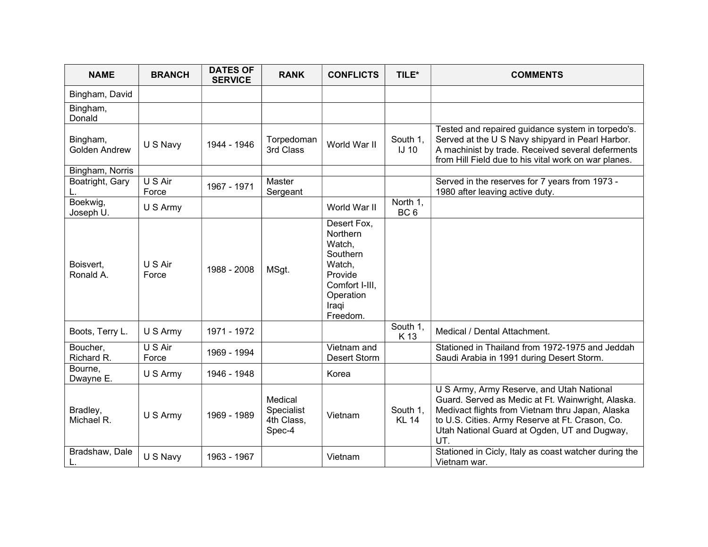| <b>NAME</b>                      | <b>BRANCH</b>    | <b>DATES OF</b><br><b>SERVICE</b> | <b>RANK</b>                                   | <b>CONFLICTS</b>                                                                                                              | TILE*                       | <b>COMMENTS</b>                                                                                                                                                                                                                                              |
|----------------------------------|------------------|-----------------------------------|-----------------------------------------------|-------------------------------------------------------------------------------------------------------------------------------|-----------------------------|--------------------------------------------------------------------------------------------------------------------------------------------------------------------------------------------------------------------------------------------------------------|
| Bingham, David                   |                  |                                   |                                               |                                                                                                                               |                             |                                                                                                                                                                                                                                                              |
| Bingham,<br>Donald               |                  |                                   |                                               |                                                                                                                               |                             |                                                                                                                                                                                                                                                              |
| Bingham,<br><b>Golden Andrew</b> | U S Navy         | 1944 - 1946                       | Torpedoman<br>3rd Class                       | World War II                                                                                                                  | South 1,<br>$IJ$ 10         | Tested and repaired guidance system in torpedo's.<br>Served at the U S Navy shipyard in Pearl Harbor.<br>A machinist by trade. Received several deferments<br>from Hill Field due to his vital work on war planes.                                           |
| Bingham, Norris                  |                  |                                   |                                               |                                                                                                                               |                             |                                                                                                                                                                                                                                                              |
| Boatright, Gary                  | U S Air<br>Force | 1967 - 1971                       | Master<br>Sergeant                            |                                                                                                                               |                             | Served in the reserves for 7 years from 1973 -<br>1980 after leaving active duty.                                                                                                                                                                            |
| Boekwig,<br>Joseph U.            | U S Army         |                                   |                                               | World War II                                                                                                                  | North 1,<br>BC <sub>6</sub> |                                                                                                                                                                                                                                                              |
| Boisvert,<br>Ronald A.           | U S Air<br>Force | 1988 - 2008                       | MSgt.                                         | Desert Fox,<br><b>Northern</b><br>Watch,<br>Southern<br>Watch,<br>Provide<br>Comfort I-III,<br>Operation<br>Iraqi<br>Freedom. |                             |                                                                                                                                                                                                                                                              |
| Boots, Terry L.                  | U S Army         | 1971 - 1972                       |                                               |                                                                                                                               | South 1.<br>K 13            | Medical / Dental Attachment.                                                                                                                                                                                                                                 |
| Boucher,<br>Richard R.           | U S Air<br>Force | 1969 - 1994                       |                                               | Vietnam and<br><b>Desert Storm</b>                                                                                            |                             | Stationed in Thailand from 1972-1975 and Jeddah<br>Saudi Arabia in 1991 during Desert Storm.                                                                                                                                                                 |
| Bourne,<br>Dwayne E.             | U S Army         | 1946 - 1948                       |                                               | Korea                                                                                                                         |                             |                                                                                                                                                                                                                                                              |
| Bradley,<br>Michael R.           | U S Army         | 1969 - 1989                       | Medical<br>Specialist<br>4th Class,<br>Spec-4 | Vietnam                                                                                                                       | South 1,<br><b>KL 14</b>    | U S Army, Army Reserve, and Utah National<br>Guard. Served as Medic at Ft. Wainwright, Alaska.<br>Medivact flights from Vietnam thru Japan, Alaska<br>to U.S. Cities. Army Reserve at Ft. Crason, Co.<br>Utah National Guard at Ogden, UT and Dugway,<br>UT. |
| Bradshaw, Dale<br>L.             | U S Navy         | 1963 - 1967                       |                                               | Vietnam                                                                                                                       |                             | Stationed in Cicly, Italy as coast watcher during the<br>Vietnam war.                                                                                                                                                                                        |